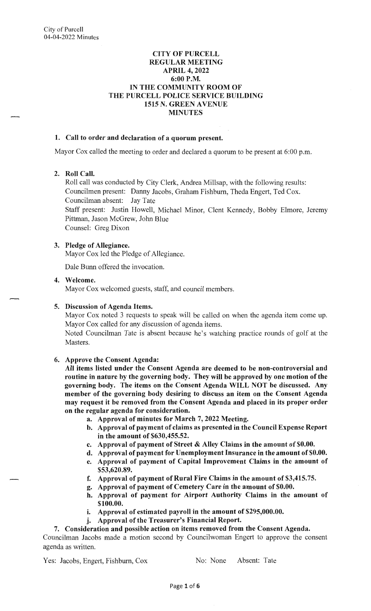#### **CITY OF PURCELL REGULAR MEETING APRIL 4, 2022 6:00P.M. IN THE COMMUNITY ROOM OF THE PURCELL POLICE SERVICE BUILDING 1515 N. GREEN A VENUE MINUTES**

#### **1. Call to order and declaration of a quorum present.**

Mayor Cox called the meeting to order and declared a quorum to be present at 6:00 p.m.

#### **2. Roll Call.**

Roll call was conducted by City Clerk, Andrea Millsap, with the following results: Councilmen present: Danny Jacobs, Graham Fishburn, Theda Engert, Ted Cox. Councilman absent: Jay Tate Staff present: Justin Howell, Michael Minor, Clent Kennedy, Bobby Elmore, Jeremy Pittman, Jason McGrew, John Blue Counsel: Greg Dixon

#### **3. Pledge of Allegiance.**

Mayor Cox led the Pledge of Allegiance.

Dale Bunn offered the invocation.

#### **4. Welcome.**

Mayor Cox welcomed guests, staff, and council members.

## **5. Discussion of Agenda Items.**

Mayor Cox noted 3 requests to speak will be called on when the agenda item come up. Mayor Cox called for any discussion of agenda items.

Noted Councilman Tate is absent because he's watching practice rounds of golf at the Masters.

## **6. Approve the Consent Agenda:**

**All items listed under the Consent Agenda are deemed to be non-controversial and routine in nature by the governing body. They will be approved by one motion of the governing body. The items on the Consent Agenda WILL NOT be discussed. Any member of the governing body desiring to discuss an item on the Consent Agenda may request it be removed from the Consent Agenda and placed in its proper order on the regular agenda for consideration.** 

- **a. Approval of minutes for March** 7, **2022 Meeting.**
- **b. Approval of payment of claims as presented in the Council Expense Report in the amount of \$630,455.52.**
- **c. Approval of payment of Street** & **Alley Claims in the amount of \$0.00.**
- **d. Approval of payment for Unemployment Insurance in the amount of \$0.00.**
- **e. Approval of payment of Capital Improvement Claims in the amount of \$53,620.89.**
- **f. Approval of payment of Rural Fire Claims in the amount of \$3,415.75.**
- **g. Approval of payment of Cemetery Care in the amount of \$0.00.**
- **h. Approval of payment for Airport Authority Claims in the amount of \$100.00.**
- i. **Approval of estimated payroll in the amount of \$295,000.00.**
- **j. Approval of the Treasurer's Financial Report.**

#### **7. Consideration and possible action on items removed from the Consent Agenda.**

Councilman Jacobs made a motion second by Councilwoman Engert to approve the consent agenda as written.

Yes: Jacobs, Engert, Fishburn, Cox No: None Absent: Tate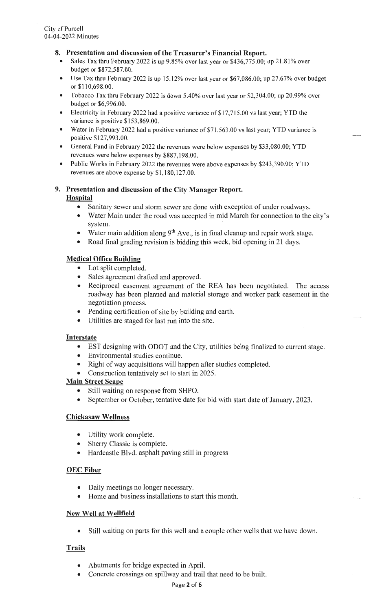## **8. Presentation and discussion of the Treasurer's Financial Report.**

- Sales Tax thru February 2022 is up 9.85% over last year or \$436,775.00; up 21.81% over budget or \$872,587.00.
- Use Tax thru February 2022 is up 15.12% over last year or \$67,086.00; up 27.67% over budget or  $$110,698.00.$
- Tobacco Tax thru February 2022 is down 5.40% over last year or \$2,304.00; up 20.99% over budget or \$6,996.00.
- Electricity in February 2022 had a positive variance of \$17,715.00 vs last year; YTD the variance is positive \$153,869.00.
- Water in February 2022 had a positive variance of \$71 ,563.00 vs last year; YTD variance is positive \$127,993.00.
- General Fund in February 2022 the revenues were below expenses by \$33 ,080.00; YTD revenues were below expenses by \$887,198.00.
- Public Works in February 2022 the revenues were above expenses by \$243,390.00; YTD revenues are above expense by \$1,180,127.00.

## **9. Presentation and discussion of the City Manager Report. Hospital**

- Sanitary sewer and storm sewer are done with exception of under roadways.
- Water Main under the road was accepted in mid March for connection to the city's system.
- Water main addition along  $9<sup>th</sup>$  Ave., is in final cleanup and repair work stage.
- Road final grading revision is bidding this week, bid opening in 21 days.

## **Medical Office Building**

- Lot split completed.
- Sales agreement drafted and approved.
- Reciprocal easement agreement of the REA has been negotiated. The access roadway has been planned and material storage and worker park easement in the negotiation process.
- Pending certification of site by building and earth.
- Utilities are staged for last run into the site.

#### **Interstate**

- EST designing with ODOT and the City, utilities being finalized to current stage.
- Environmental studies continue.
- Right of way acquisitions will happen after studies completed.
- Construction tentatively set to start in 2025.

## **Main Street Scape**

- Still waiting on response from SHPO.
- September or October, tentative date for bid with start date of January, 2023.

## **Chickasaw Wellness**

- Utility work complete.
- Sherry Classic is complete.
- Hardcastle Blvd. asphalt paving still in progress

## **OEC Fiber**

- Daily meetings no longer necessary.
- Home and business installations to start this month.

## **New Well at Wellfield**

• Still waiting on parts for this well and a couple other wells that we have down.

## **Trails**

- Abutments for bridge expected in April.
- Concrete crossings on spillway and trail that need to be built.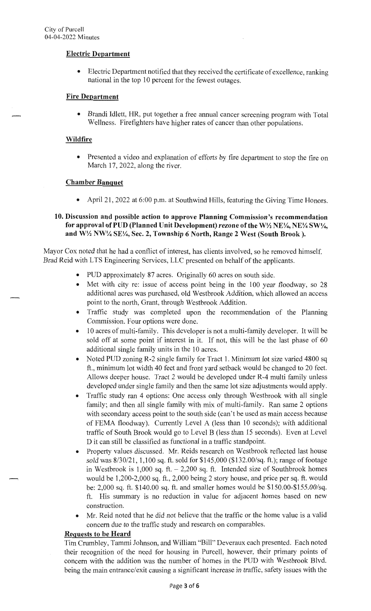#### **Electric Department**

• Electric Department notified that they received the certificate of excellence, ranking national in the top 10 percent for the fewest outages.

## **Fire Department**

• Brandi Idlett, HR, put together a free annual cancer screening program with Total Wellness. Firefighters have higher rates of cancer than other populations.

#### **Wildfire**

• Presented a video and explanation of efforts by fire department to stop the fire on March 17, 2022, along the river.

#### **Chamber Banquet**

April 21, 2022 at 6:00 p.m. at Southwind Hills, featuring the Giving Time Honors.

#### **10. Discussion and possible action to approve Planning Commission's recommendation for approval of PUD (Planned Unit Development) rezone of the W½ NE¼, NE¼ SW¼, and W½ NW¼ SE¼, Sec. 2, Township 6 North, Range 2 West (South Brook).**

Mayor Cox noted that he had a conflict of interest, has clients involved, so he removed himself. Brad Reid with LTS Engineering Services, LLC presented on behalf of the applicants.

- PUD approximately 87 acres. Originally 60 acres on south side.
- Met with city re: issue of access point being in the 100 year floodway, so 28 additional acres was purchased, old Westbrook Addition, which allowed an access point to the north, Grant, through Westbrook Addition.
- Traffic study was completed upon the recommendation of the Planning Commission. Four options were done.
- 10 acres of multi-family. This developer is not a multi-family developer. It will be sold off at some point if interest in it. If not, this will be the last phase of 60 additional single family units in the 10 acres.
- Noted PUD zoning R-2 single family for Tract 1. Minimum lot size varied 4800 sq ft., minimum lot width 40 feet and front yard setback would be changed to 20 feet. Allows deeper house. Tract 2 would be developed under R-4 multi family unless developed under single family and then the same lot size adjustments would apply.
- Traffic study ran 4 options: One access only through Westbrook with all single family; and then all single family with mix of multi-family. Ran same 2 options with secondary access point to the south side (can't be used as main access because of FEMA floodway). Currently Level A (less than 10 seconds); with additional traffic of South Brook would go to Level B (less than 15 seconds). Even at Level D it can still be classified as functional in a traffic standpoint.
- Property values discussed. Mr. Reids research on Westbrook reflected last house sold was 8/30/21 , 1,100 sq. ft. sold for \$145,000 (\$132.00/sq. ft.); range of footage in Westbrook is  $1,000$  sq. ft.  $-2,200$  sq. ft. Intended size of Southbrook homes would be 1,200-2,000 sq. ft., 2,000 being 2 story house, and price per sq. ft. would be: 2,000 sq. ft. \$140.00 sq. ft. and smaller homes would be \$150.00-\$155.00/sq. ft. His summary is no reduction in value for adjacent homes based on new construction.
- Mr. Reid noted that he did not believe that the traffic or the home value is a valid concern due to the traffic study and research on comparables.

#### **Requests to be Heard**

Tim Crumbley, Tammi Johnson, and William "Bill" Deveraux each presented. Each noted their recognition of the need for housing in Purcell, however, their primary points of concern with the addition was the number of homes in the PUD with Westbrook Blvd. being the main entrance/exit causing a significant increase in traffic, safety issues with the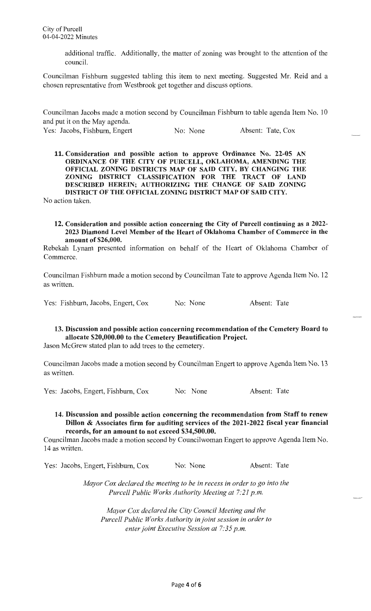additional traffic. Additionally, the matter of zoning was brought to the attention of the council.

Councilman Fishburn suggested tabling this item to next meeting. Suggested Mr. Reid and a chosen representative from Westbrook get together and discuss options.

Councilman Jacobs made a motion second by Councilman Fishburn to table agenda Item No. 10 and put it on the May agenda.

Yes: Jacobs, Fishburn, Engert No: None Absent: Tate, Cox

**11. Consideration and possible action to approve Ordinance No. 22-05 AN ORDINANCE OF THE CITY OF PURCELL, OKLAHOMA, AMENDING THE OFFICIAL ZONING DISTRICTS MAP OF SAID CITY, BY CHANGING THE ZONING DISTRICT CLASSIFICATION FOR THE TRACT OF LAND DESCRIBED HEREIN; AUTHORIZING THE CHANGE OF SAID ZONING DISTRICT OF THE OFFICIAL ZONING DISTRICT MAP OF SAID CITY.** 

No action taken.

#### **12. Consideration and possible action concerning the City of Purcell continuing as a 2022- 2023 Diamond Level Member of the Heart of Oklahoma Chamber of Commerce in the amount of \$26,000.**

Rebekah Lynam presented information on behalf of the Heart of Oklahoma Chamber of Commerce.

Councilman Fishburn made a motion second by Councilman Tate to approve Agenda Item No. 12 as written.

Yes: Fishburn, Jacobs, Engert, Cox No: None Absent: Tate

# **13. Discussion and possible action concerning recommendation of the Cemetery Board to allocate \$20,000.00 to the Cemetery Beautification Project.**

Jason McGrew stated plan to add trees to the cemetery.

Councilman Jacobs made a motion second by Councilman Engert to approve Agenda Item No. 13 as written.

Yes: Jacobs, Engert, Fishburn, Cox No: None Absent: Tate

#### **14. Discussion and possible action concerning the recommendation from Staff to renew Dillon** & **Associates firm for auditing services of the 2021-2022 fiscal year financial records, for an amount to not exceed \$34,500.00.**

Councilman Jacobs made a motion second by Councilwoman Engert to approve Agenda Item No. 14 as written.

Yes: Jacobs, Engert, Fishburn, Cox No: None Absent: Tate

*Mayor Cox declared the meeting to be in recess in order to go into the Purcell Public Works Authority Meeting at 7:21 p.m.* 

*Mayor Cox declared the City Council Meeting and the Purcell Public Works Authority in joint session in order to enter joint Executive Session at 7:35 p.m.*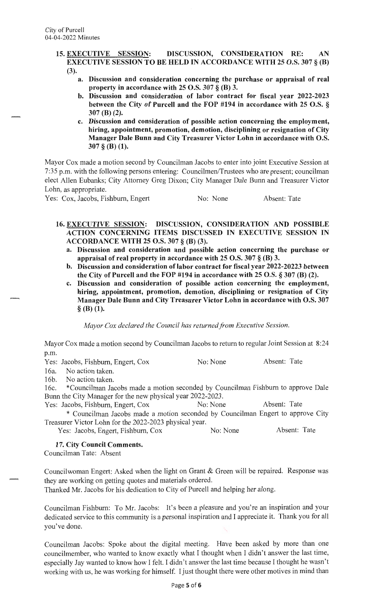- **15. EXECUTIVE SESSION: DISCUSSION, CONSIDERATION RE: AN EXECUTIVE SESSION TO BE HELD IN ACCORDANCE WITH 25 O.S. 307** § **(B)**  (3).
	- **a. Discussion and consideration concerning the purchase or appraisal of real property in accordance with 25 O.S. 307** § **(B) 3.**
	- **b. Discussion and consideration of labor contract for fiscal year 2022-2023 between the City of Purcell and the FOP #194 in accordance with 25 O.S.** § **307 (B) (2).**
	- **c. Discussion and consideration of possible action concerning the employment, hiring, appointment, promotion, demotion, disciplining or resignation of City Manager Dale Bunn and City Treasurer Victor Lohn in accordance with O.S. 307** § **(B) (1).**

Mayor Cox made a motion second by Councilman Jacobs to enter into joint Executive Session at 7:35 p.m. with the following persons entering: Councilmen/Trustees who are present; councilman elect Allen Eubanks; City Attorney Greg Dixon; City Manager Dale Bunn and Treasurer Victor Lohn, as appropriate.

Yes: Cox, Jacobs, Fishburn, Engert No: None Absent: Tate

- **16. EXECUTIVE SESSION: DISCUSSION, CONSIDERATION AND POSSIBLE ACTION CONCERNING ITEMS DISCUSSED IN EXECUTIVE SESSION IN ACCORDANCE WITH 25 O.S. 307** § **(B) (3).** 
	- **a. Discussion and consideration and possible action concerning the purchase or appraisal of real property in accordance with 25 O.S. 307** § **(B) 3.**
	- **b. Discussion and consideration of labor contract for fiscal year 2022-20223 between the City of Purcell and the FOP #194 in accordance with 25 O.S.** § **307 (B) (2).**
	- **c. Discussion and consideration of possible action concerning the employment, hiring, appointment, promotion, demotion, disciplining or resignation of City Manager Dale Bunn and City Treasurer Victor Lohn in accordance with O.S. 307**  § **(B) (1).**

*Mayor Cox declared the Council has returned from Executive Session.* 

Mayor Cox made a motion second by Councilman Jacobs to return to regular Joint Session at 8:24 p.m.

|  |  | Yes: Jacobs, Fishburn, Engert, Cox |  |  | No: None | Absent: Tate |  |
|--|--|------------------------------------|--|--|----------|--------------|--|
|--|--|------------------------------------|--|--|----------|--------------|--|

16a. No action taken.

16b. No action taken.

16c. \*Councilman Jacobs made a motion seconded by Councilman Fishburn to approve Dale Bunn the City Manager for the new physical year 2022-2023.

Yes: Jacobs, Fishburn, Engert, Cox No: No: None Absent: Tate

\* Councilman Jacobs made a motion seconded by Councilman Engert to approve City Treasurer Victor Lohn for the 2022-2023 physical year.

Yes: Jacobs, Engert, Fishburn, Cox No: None Absent: Tate

#### **17. City Council Comments.**

Councilman Tate: Absent

Councilwoman Engert: Asked when the light on Grant & Green will be repaired. Response was they are working on getting quotes and materials ordered.

Thanked Mr. Jacobs for his dedication to City of Purcell and helping her along.

Councilman Fishburn: To Mr. Jacobs: It's been a pleasure and you're an inspiration and your dedicated service to this community is a personal inspiration and I appreciate it. Thank you for all you've done.

Councilman Jacobs: Spoke about the digital meeting. Have been asked by more than one councilmember, who wanted to know exactly what I thought when I didn't answer the last time, especially Jay wanted to know how I felt. I didn't answer the last time because I thought he wasn't working with us, he was working for himself. I just thought there were other motives in mind than